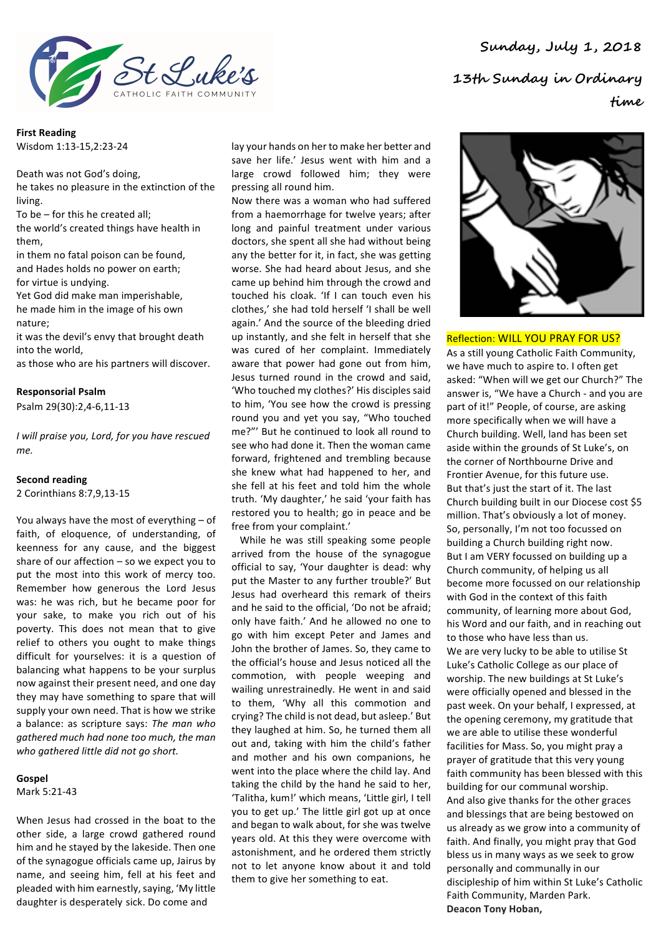

**First Reading** Wisdom 1:13-15,2:23-24

Death was not God's doing, he takes no pleasure in the extinction of the living.

To be  $-$  for this he created all;

the world's created things have health in them,

in them no fatal poison can be found, and Hades holds no power on earth; for virtue is undying.

Yet God did make man imperishable, he made him in the image of his own nature;

it was the devil's envy that brought death into the world.

as those who are his partners will discover.

**Responsorial Psalm**

Psalm 29(30):2,4-6,11-13

*I* will praise you, Lord, for you have rescued *me.*

#### **Second reading**

2 Corinthians 8:7,9,13-15

You always have the most of everything  $-$  of faith, of eloquence, of understanding, of keenness for any cause, and the biggest share of our affection  $-$  so we expect you to put the most into this work of mercy too. Remember how generous the Lord Jesus was: he was rich, but he became poor for your sake, to make you rich out of his poverty. This does not mean that to give relief to others you ought to make things difficult for yourselves: it is a question of balancing what happens to be your surplus now against their present need, and one day they may have something to spare that will supply your own need. That is how we strike a balance: as scripture says: The man who gathered much had none too much, the man who gathered little did not go short.

### **Gospel** Mark 5:21-43

When Jesus had crossed in the boat to the other side, a large crowd gathered round him and he stayed by the lakeside. Then one of the synagogue officials came up. Jairus by name, and seeing him, fell at his feet and pleaded with him earnestly, saying, 'My little daughter is desperately sick. Do come and

lay your hands on her to make her better and save her life.' Jesus went with him and a large crowd followed him; they were pressing all round him.

Now there was a woman who had suffered from a haemorrhage for twelve years; after long and painful treatment under various doctors, she spent all she had without being any the better for it, in fact, she was getting worse. She had heard about Jesus, and she came up behind him through the crowd and touched his cloak. 'If I can touch even his clothes,' she had told herself 'I shall be well again.' And the source of the bleeding dried up instantly, and she felt in herself that she was cured of her complaint. Immediately aware that power had gone out from him, Jesus turned round in the crowd and said, 'Who touched my clothes?' His disciples said to him, 'You see how the crowd is pressing round you and yet you say, "Who touched me?"' But he continued to look all round to see who had done it. Then the woman came forward, frightened and trembling because she knew what had happened to her, and she fell at his feet and told him the whole truth. 'My daughter,' he said 'your faith has restored you to health; go in peace and be free from your complaint.'

While he was still speaking some people arrived from the house of the synagogue official to say, 'Your daughter is dead: why put the Master to any further trouble?' But Jesus had overheard this remark of theirs and he said to the official, 'Do not be afraid; only have faith.' And he allowed no one to go with him except Peter and James and John the brother of James. So, they came to the official's house and Jesus noticed all the commotion, with people weeping and wailing unrestrainedly. He went in and said to them, 'Why all this commotion and crying? The child is not dead, but asleep.' But they laughed at him. So, he turned them all out and, taking with him the child's father and mother and his own companions, he went into the place where the child lay. And taking the child by the hand he said to her, 'Talitha, kum!' which means, 'Little girl, I tell you to get up.' The little girl got up at once and began to walk about, for she was twelve years old. At this they were overcome with astonishment, and he ordered them strictly not to let anyone know about it and told them to give her something to eat.



### **Reflection: WILL YOU PRAY FOR US?**

As a still young Catholic Faith Community, we have much to aspire to. I often get asked: "When will we get our Church?" The answer is, "We have a Church - and you are part of it!" People, of course, are asking more specifically when we will have a Church building. Well, land has been set aside within the grounds of St Luke's, on the corner of Northbourne Drive and Frontier Avenue, for this future use. But that's just the start of it. The last Church building built in our Diocese cost \$5 million. That's obviously a lot of money. So, personally, I'm not too focussed on building a Church building right now. But I am VERY focussed on building up a Church community, of helping us all become more focussed on our relationship with God in the context of this faith community, of learning more about God, his Word and our faith, and in reaching out to those who have less than us. We are very lucky to be able to utilise St Luke's Catholic College as our place of worship. The new buildings at St Luke's were officially opened and blessed in the past week. On your behalf, I expressed, at the opening ceremony, my gratitude that we are able to utilise these wonderful facilities for Mass. So, you might pray a prayer of gratitude that this very young faith community has been blessed with this building for our communal worship. And also give thanks for the other graces and blessings that are being bestowed on us already as we grow into a community of faith. And finally, you might pray that God bless us in many ways as we seek to grow personally and communally in our discipleship of him within St Luke's Catholic Faith Community, Marden Park. **Deacon Tony Hoban,**